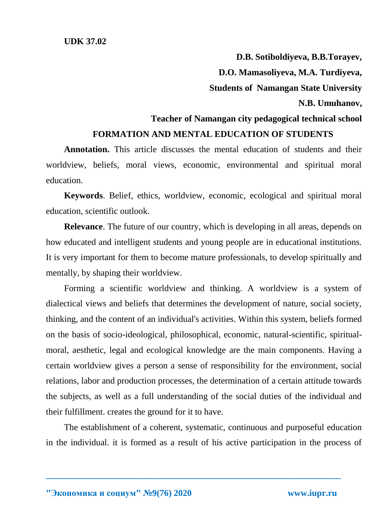**D.B. Sotiboldiyeva, B.B.Torayev, D.O. Mamasoliyeva, M.A. Turdiyeva, Students of Namangan State University N.B. Umuhanov, Teacher of Namangan city pedagogical technical school FORMATION AND MENTAL EDUCATION OF STUDENTS**

**Annotation.** This article discusses the mental education of students and their worldview, beliefs, moral views, economic, environmental and spiritual moral education.

**Keywords**. Belief, ethics, worldview, economic, ecological and spiritual moral education, scientific outlook.

**Relevance**. The future of our country, which is developing in all areas, depends on how educated and intelligent students and young people are in educational institutions. It is very important for them to become mature professionals, to develop spiritually and mentally, by shaping their worldview.

Forming a scientific worldview and thinking. A worldview is a system of dialectical views and beliefs that determines the development of nature, social society, thinking, and the content of an individual's activities. Within this system, beliefs formed on the basis of socio-ideological, philosophical, economic, natural-scientific, spiritualmoral, aesthetic, legal and ecological knowledge are the main components. Having a certain worldview gives a person a sense of responsibility for the environment, social relations, labor and production processes, the determination of a certain attitude towards the subjects, as well as a full understanding of the social duties of the individual and their fulfillment. creates the ground for it to have.

The establishment of a coherent, systematic, continuous and purposeful education in the individual. it is formed as a result of his active participation in the process of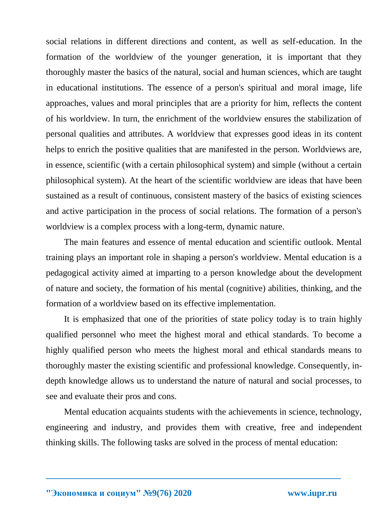social relations in different directions and content, as well as self-education. In the formation of the worldview of the younger generation, it is important that they thoroughly master the basics of the natural, social and human sciences, which are taught in educational institutions. The essence of a person's spiritual and moral image, life approaches, values and moral principles that are a priority for him, reflects the content of his worldview. In turn, the enrichment of the worldview ensures the stabilization of personal qualities and attributes. A worldview that expresses good ideas in its content helps to enrich the positive qualities that are manifested in the person. Worldviews are, in essence, scientific (with a certain philosophical system) and simple (without a certain philosophical system). At the heart of the scientific worldview are ideas that have been sustained as a result of continuous, consistent mastery of the basics of existing sciences and active participation in the process of social relations. The formation of a person's worldview is a complex process with a long-term, dynamic nature.

The main features and essence of mental education and scientific outlook. Mental training plays an important role in shaping a person's worldview. Mental education is a pedagogical activity aimed at imparting to a person knowledge about the development of nature and society, the formation of his mental (cognitive) abilities, thinking, and the formation of a worldview based on its effective implementation.

It is emphasized that one of the priorities of state policy today is to train highly qualified personnel who meet the highest moral and ethical standards. To become a highly qualified person who meets the highest moral and ethical standards means to thoroughly master the existing scientific and professional knowledge. Consequently, indepth knowledge allows us to understand the nature of natural and social processes, to see and evaluate their pros and cons.

Mental education acquaints students with the achievements in science, technology, engineering and industry, and provides them with creative, free and independent thinking skills. The following tasks are solved in the process of mental education: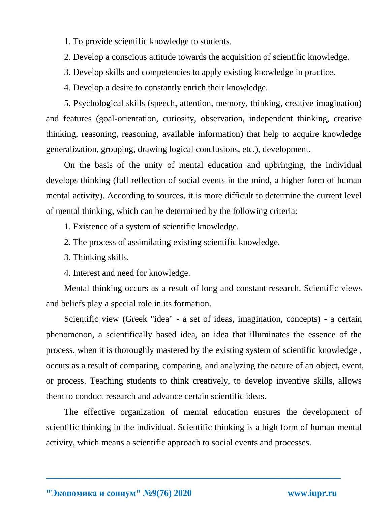- 1. To provide scientific knowledge to students.
- 2. Develop a conscious attitude towards the acquisition of scientific knowledge.
- 3. Develop skills and competencies to apply existing knowledge in practice.
- 4. Develop a desire to constantly enrich their knowledge.

5. Psychological skills (speech, attention, memory, thinking, creative imagination) and features (goal-orientation, curiosity, observation, independent thinking, creative thinking, reasoning, reasoning, available information) that help to acquire knowledge generalization, grouping, drawing logical conclusions, etc.), development.

On the basis of the unity of mental education and upbringing, the individual develops thinking (full reflection of social events in the mind, a higher form of human mental activity). According to sources, it is more difficult to determine the current level of mental thinking, which can be determined by the following criteria:

- 1. Existence of a system of scientific knowledge.
- 2. The process of assimilating existing scientific knowledge.
- 3. Thinking skills.
- 4. Interest and need for knowledge.

Mental thinking occurs as a result of long and constant research. Scientific views and beliefs play a special role in its formation.

Scientific view (Greek "idea" - a set of ideas, imagination, concepts) - a certain phenomenon, a scientifically based idea, an idea that illuminates the essence of the process, when it is thoroughly mastered by the existing system of scientific knowledge , occurs as a result of comparing, comparing, and analyzing the nature of an object, event, or process. Teaching students to think creatively, to develop inventive skills, allows them to conduct research and advance certain scientific ideas.

The effective organization of mental education ensures the development of scientific thinking in the individual. Scientific thinking is a high form of human mental activity, which means a scientific approach to social events and processes.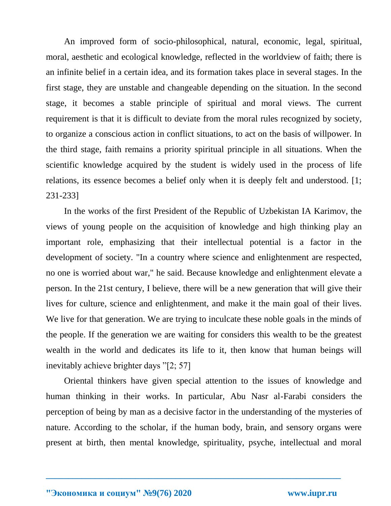An improved form of socio-philosophical, natural, economic, legal, spiritual, moral, aesthetic and ecological knowledge, reflected in the worldview of faith; there is an infinite belief in a certain idea, and its formation takes place in several stages. In the first stage, they are unstable and changeable depending on the situation. In the second stage, it becomes a stable principle of spiritual and moral views. The current requirement is that it is difficult to deviate from the moral rules recognized by society, to organize a conscious action in conflict situations, to act on the basis of willpower. In the third stage, faith remains a priority spiritual principle in all situations. When the scientific knowledge acquired by the student is widely used in the process of life relations, its essence becomes a belief only when it is deeply felt and understood. [1; 231-233]

In the works of the first President of the Republic of Uzbekistan IA Karimov, the views of young people on the acquisition of knowledge and high thinking play an important role, emphasizing that their intellectual potential is a factor in the development of society. "In a country where science and enlightenment are respected, no one is worried about war," he said. Because knowledge and enlightenment elevate a person. In the 21st century, I believe, there will be a new generation that will give their lives for culture, science and enlightenment, and make it the main goal of their lives. We live for that generation. We are trying to inculcate these noble goals in the minds of the people. If the generation we are waiting for considers this wealth to be the greatest wealth in the world and dedicates its life to it, then know that human beings will inevitably achieve brighter days "[2; 57]

Oriental thinkers have given special attention to the issues of knowledge and human thinking in their works. In particular, Abu Nasr al-Farabi considers the perception of being by man as a decisive factor in the understanding of the mysteries of nature. According to the scholar, if the human body, brain, and sensory organs were present at birth, then mental knowledge, spirituality, psyche, intellectual and moral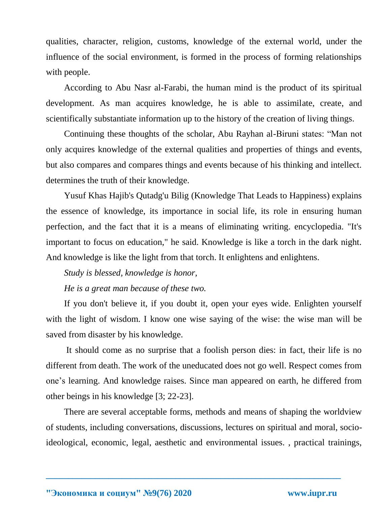qualities, character, religion, customs, knowledge of the external world, under the influence of the social environment, is formed in the process of forming relationships with people.

According to Abu Nasr al-Farabi, the human mind is the product of its spiritual development. As man acquires knowledge, he is able to assimilate, create, and scientifically substantiate information up to the history of the creation of living things.

Continuing these thoughts of the scholar, Abu Rayhan al-Biruni states: "Man not only acquires knowledge of the external qualities and properties of things and events, but also compares and compares things and events because of his thinking and intellect. determines the truth of their knowledge.

Yusuf Khas Hajib's Qutadg'u Bilig (Knowledge That Leads to Happiness) explains the essence of knowledge, its importance in social life, its role in ensuring human perfection, and the fact that it is a means of eliminating writing. encyclopedia. "It's important to focus on education," he said. Knowledge is like a torch in the dark night. And knowledge is like the light from that torch. It enlightens and enlightens.

*Study is blessed, knowledge is honor,*

*He is a great man because of these two.*

If you don't believe it, if you doubt it, open your eyes wide. Enlighten yourself with the light of wisdom. I know one wise saying of the wise: the wise man will be saved from disaster by his knowledge.

It should come as no surprise that a foolish person dies: in fact, their life is no different from death. The work of the uneducated does not go well. Respect comes from one's learning. And knowledge raises. Since man appeared on earth, he differed from other beings in his knowledge [3; 22-23].

There are several acceptable forms, methods and means of shaping the worldview of students, including conversations, discussions, lectures on spiritual and moral, socioideological, economic, legal, aesthetic and environmental issues. , practical trainings,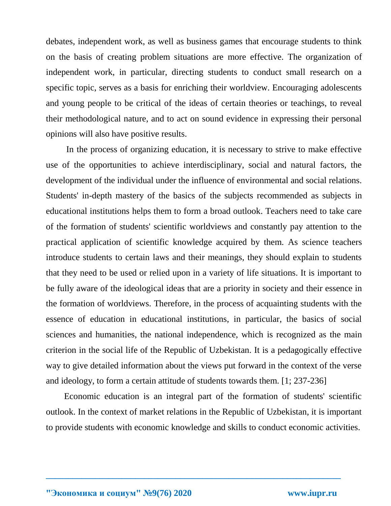debates, independent work, as well as business games that encourage students to think on the basis of creating problem situations are more effective. The organization of independent work, in particular, directing students to conduct small research on a specific topic, serves as a basis for enriching their worldview. Encouraging adolescents and young people to be critical of the ideas of certain theories or teachings, to reveal their methodological nature, and to act on sound evidence in expressing their personal opinions will also have positive results.

In the process of organizing education, it is necessary to strive to make effective use of the opportunities to achieve interdisciplinary, social and natural factors, the development of the individual under the influence of environmental and social relations. Students' in-depth mastery of the basics of the subjects recommended as subjects in educational institutions helps them to form a broad outlook. Teachers need to take care of the formation of students' scientific worldviews and constantly pay attention to the practical application of scientific knowledge acquired by them. As science teachers introduce students to certain laws and their meanings, they should explain to students that they need to be used or relied upon in a variety of life situations. It is important to be fully aware of the ideological ideas that are a priority in society and their essence in the formation of worldviews. Therefore, in the process of acquainting students with the essence of education in educational institutions, in particular, the basics of social sciences and humanities, the national independence, which is recognized as the main criterion in the social life of the Republic of Uzbekistan. It is a pedagogically effective way to give detailed information about the views put forward in the context of the verse and ideology, to form a certain attitude of students towards them. [1; 237-236]

Economic education is an integral part of the formation of students' scientific outlook. In the context of market relations in the Republic of Uzbekistan, it is important to provide students with economic knowledge and skills to conduct economic activities.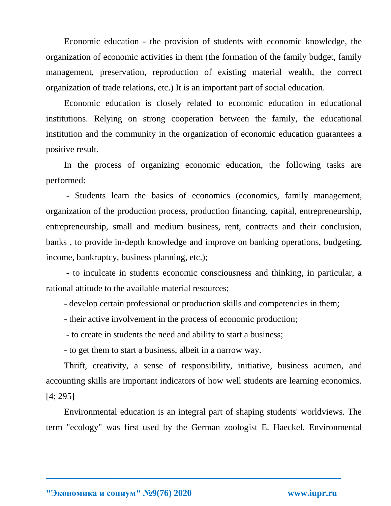Economic education - the provision of students with economic knowledge, the organization of economic activities in them (the formation of the family budget, family management, preservation, reproduction of existing material wealth, the correct organization of trade relations, etc.) It is an important part of social education.

Economic education is closely related to economic education in educational institutions. Relying on strong cooperation between the family, the educational institution and the community in the organization of economic education guarantees a positive result.

In the process of organizing economic education, the following tasks are performed:

- Students learn the basics of economics (economics, family management, organization of the production process, production financing, capital, entrepreneurship, entrepreneurship, small and medium business, rent, contracts and their conclusion, banks , to provide in-depth knowledge and improve on banking operations, budgeting, income, bankruptcy, business planning, etc.);

- to inculcate in students economic consciousness and thinking, in particular, a rational attitude to the available material resources;

- develop certain professional or production skills and competencies in them;

- their active involvement in the process of economic production;

- to create in students the need and ability to start a business;

- to get them to start a business, albeit in a narrow way.

Thrift, creativity, a sense of responsibility, initiative, business acumen, and accounting skills are important indicators of how well students are learning economics. [4; 295]

Environmental education is an integral part of shaping students' worldviews. The term "ecology" was first used by the German zoologist E. Haeckel. Environmental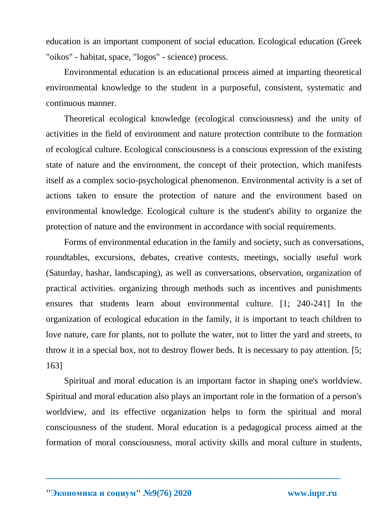education is an important component of social education. Ecological education (Greek "oikos" - habitat, space, "logos" - science) process.

Environmental education is an educational process aimed at imparting theoretical environmental knowledge to the student in a purposeful, consistent, systematic and continuous manner.

Theoretical ecological knowledge (ecological consciousness) and the unity of activities in the field of environment and nature protection contribute to the formation of ecological culture. Ecological consciousness is a conscious expression of the existing state of nature and the environment, the concept of their protection, which manifests itself as a complex socio-psychological phenomenon. Environmental activity is a set of actions taken to ensure the protection of nature and the environment based on environmental knowledge. Ecological culture is the student's ability to organize the protection of nature and the environment in accordance with social requirements.

Forms of environmental education in the family and society, such as conversations, roundtables, excursions, debates, creative contests, meetings, socially useful work (Saturday, hashar, landscaping), as well as conversations, observation, organization of practical activities. organizing through methods such as incentives and punishments ensures that students learn about environmental culture. [1; 240-241] In the organization of ecological education in the family, it is important to teach children to love nature, care for plants, not to pollute the water, not to litter the yard and streets, to throw it in a special box, not to destroy flower beds. It is necessary to pay attention. [5; 163]

Spiritual and moral education is an important factor in shaping one's worldview. Spiritual and moral education also plays an important role in the formation of a person's worldview, and its effective organization helps to form the spiritual and moral consciousness of the student. Moral education is a pedagogical process aimed at the formation of moral consciousness, moral activity skills and moral culture in students,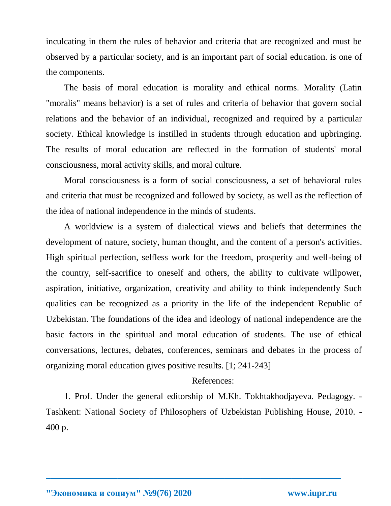inculcating in them the rules of behavior and criteria that are recognized and must be observed by a particular society, and is an important part of social education. is one of the components.

The basis of moral education is morality and ethical norms. Morality (Latin "moralis" means behavior) is a set of rules and criteria of behavior that govern social relations and the behavior of an individual, recognized and required by a particular society. Ethical knowledge is instilled in students through education and upbringing. The results of moral education are reflected in the formation of students' moral consciousness, moral activity skills, and moral culture.

Moral consciousness is a form of social consciousness, a set of behavioral rules and criteria that must be recognized and followed by society, as well as the reflection of the idea of national independence in the minds of students.

A worldview is a system of dialectical views and beliefs that determines the development of nature, society, human thought, and the content of a person's activities. High spiritual perfection, selfless work for the freedom, prosperity and well-being of the country, self-sacrifice to oneself and others, the ability to cultivate willpower, aspiration, initiative, organization, creativity and ability to think independently Such qualities can be recognized as a priority in the life of the independent Republic of Uzbekistan. The foundations of the idea and ideology of national independence are the basic factors in the spiritual and moral education of students. The use of ethical conversations, lectures, debates, conferences, seminars and debates in the process of organizing moral education gives positive results. [1; 241-243]

## References:

1. Prof. Under the general editorship of M.Kh. Tokhtakhodjayeva. Pedagogy. - Tashkent: National Society of Philosophers of Uzbekistan Publishing House, 2010. - 400 p.